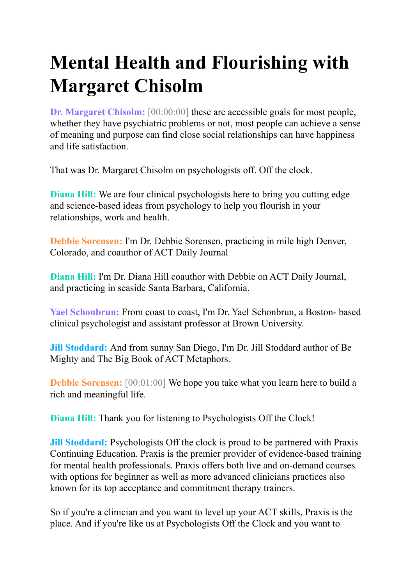## **Mental Health and Flourishing with Margaret Chisolm**

**Dr. Margaret Chisolm:** [00:00:00] these are accessible goals for most people, whether they have psychiatric problems or not, most people can achieve a sense of meaning and purpose can find close social relationships can have happiness and life satisfaction.

That was Dr. Margaret Chisolm on psychologists off. Off the clock.

**Diana Hill:** We are four clinical psychologists here to bring you cutting edge and science-based ideas from psychology to help you flourish in your relationships, work and health.

**Debbie Sorensen:** I'm Dr. Debbie Sorensen, practicing in mile high Denver, Colorado, and coauthor of ACT Daily Journal

**Diana Hill:** I'm Dr. Diana Hill coauthor with Debbie on ACT Daily Journal, and practicing in seaside Santa Barbara, California.

**Yael Schonbrun:** From coast to coast, I'm Dr. Yael Schonbrun, a Boston- based clinical psychologist and assistant professor at Brown University.

**Jill Stoddard:** And from sunny San Diego, I'm Dr. Jill Stoddard author of Be Mighty and The Big Book of ACT Metaphors.

**Debbie Sorensen:** [00:01:00] We hope you take what you learn here to build a rich and meaningful life.

**Diana Hill:** Thank you for listening to Psychologists Off the Clock!

**Jill Stoddard:** Psychologists Off the clock is proud to be partnered with Praxis Continuing Education. Praxis is the premier provider of evidence-based training for mental health professionals. Praxis offers both live and on-demand courses with options for beginner as well as more advanced clinicians practices also known for its top acceptance and commitment therapy trainers.

So if you're a clinician and you want to level up your ACT skills, Praxis is the place. And if you're like us at Psychologists Off the Clock and you want to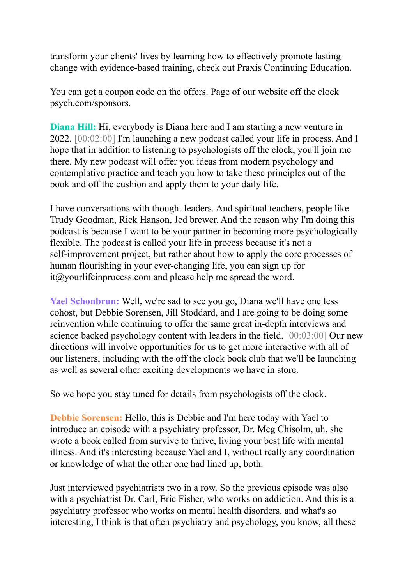transform your clients' lives by learning how to effectively promote lasting change with evidence-based training, check out Praxis Continuing Education.

You can get a coupon code on the offers. Page of our website off the clock psych.com/sponsors.

**Diana Hill:** Hi, everybody is Diana here and I am starting a new venture in 2022. [00:02:00] I'm launching a new podcast called your life in process. And I hope that in addition to listening to psychologists off the clock, you'll join me there. My new podcast will offer you ideas from modern psychology and contemplative practice and teach you how to take these principles out of the book and off the cushion and apply them to your daily life.

I have conversations with thought leaders. And spiritual teachers, people like Trudy Goodman, Rick Hanson, Jed brewer. And the reason why I'm doing this podcast is because I want to be your partner in becoming more psychologically flexible. The podcast is called your life in process because it's not a self-improvement project, but rather about how to apply the core processes of human flourishing in your ever-changing life, you can sign up for it@yourlifeinprocess.com and please help me spread the word.

**Yael Schonbrun:** Well, we're sad to see you go, Diana we'll have one less cohost, but Debbie Sorensen, Jill Stoddard, and I are going to be doing some reinvention while continuing to offer the same great in-depth interviews and science backed psychology content with leaders in the field. [00:03:00] Our new directions will involve opportunities for us to get more interactive with all of our listeners, including with the off the clock book club that we'll be launching as well as several other exciting developments we have in store.

So we hope you stay tuned for details from psychologists off the clock.

**Debbie Sorensen:** Hello, this is Debbie and I'm here today with Yael to introduce an episode with a psychiatry professor, Dr. Meg Chisolm, uh, she wrote a book called from survive to thrive, living your best life with mental illness. And it's interesting because Yael and I, without really any coordination or knowledge of what the other one had lined up, both.

Just interviewed psychiatrists two in a row. So the previous episode was also with a psychiatrist Dr. Carl, Eric Fisher, who works on addiction. And this is a psychiatry professor who works on mental health disorders. and what's so interesting, I think is that often psychiatry and psychology, you know, all these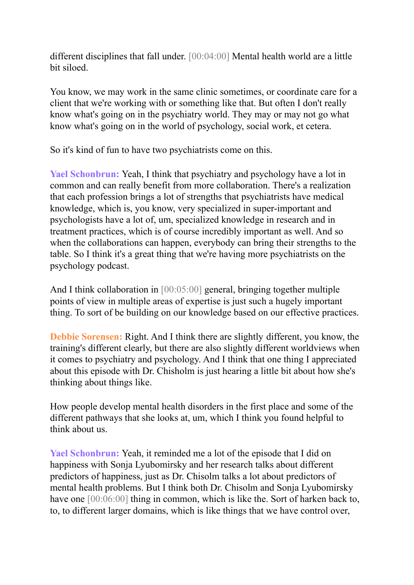different disciplines that fall under. [00:04:00] Mental health world are a little bit siloed.

You know, we may work in the same clinic sometimes, or coordinate care for a client that we're working with or something like that. But often I don't really know what's going on in the psychiatry world. They may or may not go what know what's going on in the world of psychology, social work, et cetera.

So it's kind of fun to have two psychiatrists come on this.

**Yael Schonbrun:** Yeah, I think that psychiatry and psychology have a lot in common and can really benefit from more collaboration. There's a realization that each profession brings a lot of strengths that psychiatrists have medical knowledge, which is, you know, very specialized in super-important and psychologists have a lot of, um, specialized knowledge in research and in treatment practices, which is of course incredibly important as well. And so when the collaborations can happen, everybody can bring their strengths to the table. So I think it's a great thing that we're having more psychiatrists on the psychology podcast.

And I think collaboration in [00:05:00] general, bringing together multiple points of view in multiple areas of expertise is just such a hugely important thing. To sort of be building on our knowledge based on our effective practices.

**Debbie Sorensen:** Right. And I think there are slightly different, you know, the training's different clearly, but there are also slightly different worldviews when it comes to psychiatry and psychology. And I think that one thing I appreciated about this episode with Dr. Chisholm is just hearing a little bit about how she's thinking about things like.

How people develop mental health disorders in the first place and some of the different pathways that she looks at, um, which I think you found helpful to think about us.

**Yael Schonbrun:** Yeah, it reminded me a lot of the episode that I did on happiness with Sonja Lyubomirsky and her research talks about different predictors of happiness, just as Dr. Chisolm talks a lot about predictors of mental health problems. But I think both Dr. Chisolm and Sonja Lyubomirsky have one  $[00:06:00]$  thing in common, which is like the. Sort of harken back to, to, to different larger domains, which is like things that we have control over,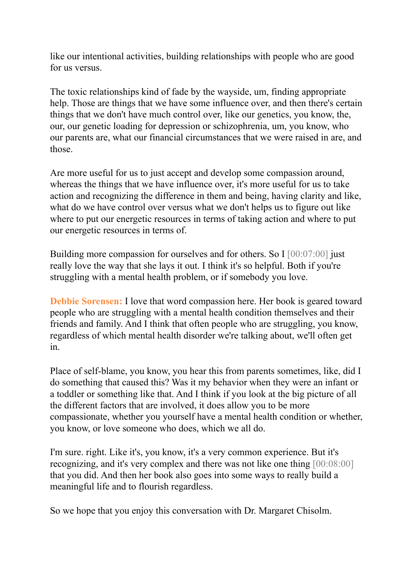like our intentional activities, building relationships with people who are good for us versus.

The toxic relationships kind of fade by the wayside, um, finding appropriate help. Those are things that we have some influence over, and then there's certain things that we don't have much control over, like our genetics, you know, the, our, our genetic loading for depression or schizophrenia, um, you know, who our parents are, what our financial circumstances that we were raised in are, and those.

Are more useful for us to just accept and develop some compassion around, whereas the things that we have influence over, it's more useful for us to take action and recognizing the difference in them and being, having clarity and like, what do we have control over versus what we don't helps us to figure out like where to put our energetic resources in terms of taking action and where to put our energetic resources in terms of.

Building more compassion for ourselves and for others. So I [00:07:00] just really love the way that she lays it out. I think it's so helpful. Both if you're struggling with a mental health problem, or if somebody you love.

**Debbie Sorensen:** I love that word compassion here. Her book is geared toward people who are struggling with a mental health condition themselves and their friends and family. And I think that often people who are struggling, you know, regardless of which mental health disorder we're talking about, we'll often get in.

Place of self-blame, you know, you hear this from parents sometimes, like, did I do something that caused this? Was it my behavior when they were an infant or a toddler or something like that. And I think if you look at the big picture of all the different factors that are involved, it does allow you to be more compassionate, whether you yourself have a mental health condition or whether, you know, or love someone who does, which we all do.

I'm sure. right. Like it's, you know, it's a very common experience. But it's recognizing, and it's very complex and there was not like one thing [00:08:00] that you did. And then her book also goes into some ways to really build a meaningful life and to flourish regardless.

So we hope that you enjoy this conversation with Dr. Margaret Chisolm.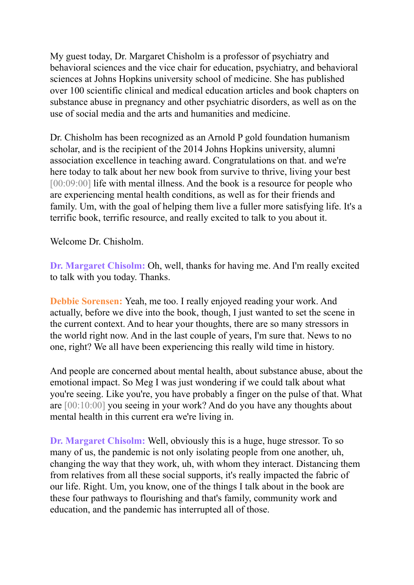My guest today, Dr. Margaret Chisholm is a professor of psychiatry and behavioral sciences and the vice chair for education, psychiatry, and behavioral sciences at Johns Hopkins university school of medicine. She has published over 100 scientific clinical and medical education articles and book chapters on substance abuse in pregnancy and other psychiatric disorders, as well as on the use of social media and the arts and humanities and medicine.

Dr. Chisholm has been recognized as an Arnold P gold foundation humanism scholar, and is the recipient of the 2014 Johns Hopkins university, alumni association excellence in teaching award. Congratulations on that. and we're here today to talk about her new book from survive to thrive, living your best [00:09:00] life with mental illness. And the book is a resource for people who are experiencing mental health conditions, as well as for their friends and family. Um, with the goal of helping them live a fuller more satisfying life. It's a terrific book, terrific resource, and really excited to talk to you about it.

Welcome Dr. Chisholm.

**Dr. Margaret Chisolm:** Oh, well, thanks for having me. And I'm really excited to talk with you today. Thanks.

**Debbie Sorensen:** Yeah, me too. I really enjoyed reading your work. And actually, before we dive into the book, though, I just wanted to set the scene in the current context. And to hear your thoughts, there are so many stressors in the world right now. And in the last couple of years, I'm sure that. News to no one, right? We all have been experiencing this really wild time in history.

And people are concerned about mental health, about substance abuse, about the emotional impact. So Meg I was just wondering if we could talk about what you're seeing. Like you're, you have probably a finger on the pulse of that. What are [00:10:00] you seeing in your work? And do you have any thoughts about mental health in this current era we're living in.

**Dr. Margaret Chisolm:** Well, obviously this is a huge, huge stressor. To so many of us, the pandemic is not only isolating people from one another, uh, changing the way that they work, uh, with whom they interact. Distancing them from relatives from all these social supports, it's really impacted the fabric of our life. Right. Um, you know, one of the things I talk about in the book are these four pathways to flourishing and that's family, community work and education, and the pandemic has interrupted all of those.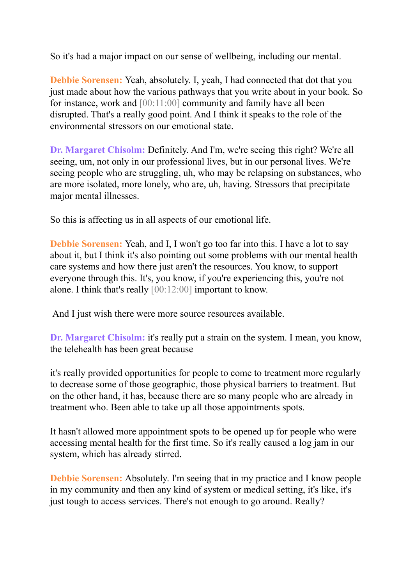So it's had a major impact on our sense of wellbeing, including our mental.

**Debbie Sorensen:** Yeah, absolutely. I, yeah, I had connected that dot that you just made about how the various pathways that you write about in your book. So for instance, work and [00:11:00] community and family have all been disrupted. That's a really good point. And I think it speaks to the role of the environmental stressors on our emotional state.

**Dr. Margaret Chisolm:** Definitely. And I'm, we're seeing this right? We're all seeing, um, not only in our professional lives, but in our personal lives. We're seeing people who are struggling, uh, who may be relapsing on substances, who are more isolated, more lonely, who are, uh, having. Stressors that precipitate major mental illnesses.

So this is affecting us in all aspects of our emotional life.

**Debbie Sorensen:** Yeah, and I, I won't go too far into this. I have a lot to say about it, but I think it's also pointing out some problems with our mental health care systems and how there just aren't the resources. You know, to support everyone through this. It's, you know, if you're experiencing this, you're not alone. I think that's really [00:12:00] important to know.

And I just wish there were more source resources available.

**Dr. Margaret Chisolm:** it's really put a strain on the system. I mean, you know, the telehealth has been great because

it's really provided opportunities for people to come to treatment more regularly to decrease some of those geographic, those physical barriers to treatment. But on the other hand, it has, because there are so many people who are already in treatment who. Been able to take up all those appointments spots.

It hasn't allowed more appointment spots to be opened up for people who were accessing mental health for the first time. So it's really caused a log jam in our system, which has already stirred.

**Debbie Sorensen:** Absolutely. I'm seeing that in my practice and I know people in my community and then any kind of system or medical setting, it's like, it's just tough to access services. There's not enough to go around. Really?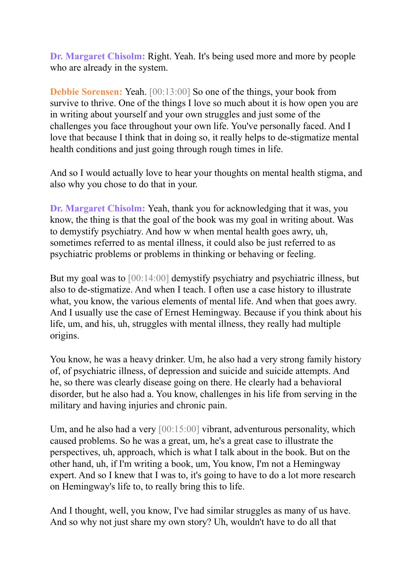**Dr. Margaret Chisolm:** Right. Yeah. It's being used more and more by people who are already in the system.

**Debbie Sorensen:** Yeah. [00:13:00] So one of the things, your book from survive to thrive. One of the things I love so much about it is how open you are in writing about yourself and your own struggles and just some of the challenges you face throughout your own life. You've personally faced. And I love that because I think that in doing so, it really helps to de-stigmatize mental health conditions and just going through rough times in life.

And so I would actually love to hear your thoughts on mental health stigma, and also why you chose to do that in your.

**Dr. Margaret Chisolm:** Yeah, thank you for acknowledging that it was, you know, the thing is that the goal of the book was my goal in writing about. Was to demystify psychiatry. And how w when mental health goes awry, uh, sometimes referred to as mental illness, it could also be just referred to as psychiatric problems or problems in thinking or behaving or feeling.

But my goal was to [00:14:00] demystify psychiatry and psychiatric illness, but also to de-stigmatize. And when I teach. I often use a case history to illustrate what, you know, the various elements of mental life. And when that goes awry. And I usually use the case of Ernest Hemingway. Because if you think about his life, um, and his, uh, struggles with mental illness, they really had multiple origins.

You know, he was a heavy drinker. Um, he also had a very strong family history of, of psychiatric illness, of depression and suicide and suicide attempts. And he, so there was clearly disease going on there. He clearly had a behavioral disorder, but he also had a. You know, challenges in his life from serving in the military and having injuries and chronic pain.

Um, and he also had a very  $[00:15:00]$  vibrant, adventurous personality, which caused problems. So he was a great, um, he's a great case to illustrate the perspectives, uh, approach, which is what I talk about in the book. But on the other hand, uh, if I'm writing a book, um, You know, I'm not a Hemingway expert. And so I knew that I was to, it's going to have to do a lot more research on Hemingway's life to, to really bring this to life.

And I thought, well, you know, I've had similar struggles as many of us have. And so why not just share my own story? Uh, wouldn't have to do all that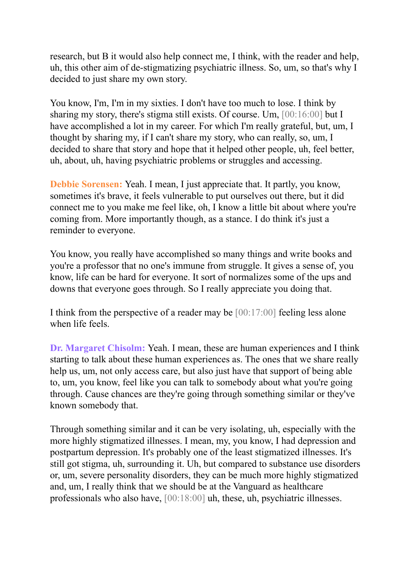research, but B it would also help connect me, I think, with the reader and help, uh, this other aim of de-stigmatizing psychiatric illness. So, um, so that's why I decided to just share my own story.

You know, I'm, I'm in my sixties. I don't have too much to lose. I think by sharing my story, there's stigma still exists. Of course. Um, [00:16:00] but I have accomplished a lot in my career. For which I'm really grateful, but, um, I thought by sharing my, if I can't share my story, who can really, so, um, I decided to share that story and hope that it helped other people, uh, feel better, uh, about, uh, having psychiatric problems or struggles and accessing.

**Debbie Sorensen:** Yeah. I mean, I just appreciate that. It partly, you know, sometimes it's brave, it feels vulnerable to put ourselves out there, but it did connect me to you make me feel like, oh, I know a little bit about where you're coming from. More importantly though, as a stance. I do think it's just a reminder to everyone.

You know, you really have accomplished so many things and write books and you're a professor that no one's immune from struggle. It gives a sense of, you know, life can be hard for everyone. It sort of normalizes some of the ups and downs that everyone goes through. So I really appreciate you doing that.

I think from the perspective of a reader may be [00:17:00] feeling less alone when life feels.

**Dr. Margaret Chisolm:** Yeah. I mean, these are human experiences and I think starting to talk about these human experiences as. The ones that we share really help us, um, not only access care, but also just have that support of being able to, um, you know, feel like you can talk to somebody about what you're going through. Cause chances are they're going through something similar or they've known somebody that.

Through something similar and it can be very isolating, uh, especially with the more highly stigmatized illnesses. I mean, my, you know, I had depression and postpartum depression. It's probably one of the least stigmatized illnesses. It's still got stigma, uh, surrounding it. Uh, but compared to substance use disorders or, um, severe personality disorders, they can be much more highly stigmatized and, um, I really think that we should be at the Vanguard as healthcare professionals who also have, [00:18:00] uh, these, uh, psychiatric illnesses.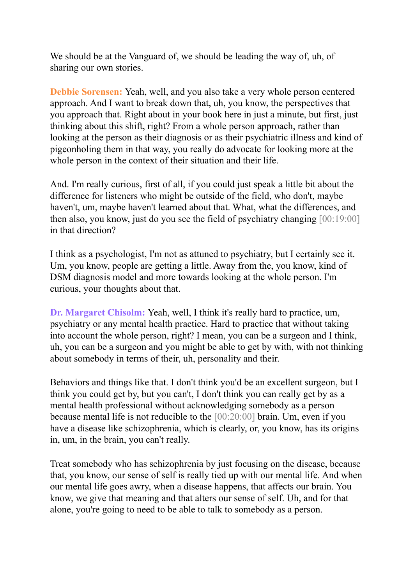We should be at the Vanguard of, we should be leading the way of, uh, of sharing our own stories.

**Debbie Sorensen:** Yeah, well, and you also take a very whole person centered approach. And I want to break down that, uh, you know, the perspectives that you approach that. Right about in your book here in just a minute, but first, just thinking about this shift, right? From a whole person approach, rather than looking at the person as their diagnosis or as their psychiatric illness and kind of pigeonholing them in that way, you really do advocate for looking more at the whole person in the context of their situation and their life.

And. I'm really curious, first of all, if you could just speak a little bit about the difference for listeners who might be outside of the field, who don't, maybe haven't, um, maybe haven't learned about that. What, what the differences, and then also, you know, just do you see the field of psychiatry changing [00:19:00] in that direction?

I think as a psychologist, I'm not as attuned to psychiatry, but I certainly see it. Um, you know, people are getting a little. Away from the, you know, kind of DSM diagnosis model and more towards looking at the whole person. I'm curious, your thoughts about that.

**Dr. Margaret Chisolm:** Yeah, well, I think it's really hard to practice, um, psychiatry or any mental health practice. Hard to practice that without taking into account the whole person, right? I mean, you can be a surgeon and I think, uh, you can be a surgeon and you might be able to get by with, with not thinking about somebody in terms of their, uh, personality and their.

Behaviors and things like that. I don't think you'd be an excellent surgeon, but I think you could get by, but you can't, I don't think you can really get by as a mental health professional without acknowledging somebody as a person because mental life is not reducible to the [00:20:00] brain. Um, even if you have a disease like schizophrenia, which is clearly, or, you know, has its origins in, um, in the brain, you can't really.

Treat somebody who has schizophrenia by just focusing on the disease, because that, you know, our sense of self is really tied up with our mental life. And when our mental life goes awry, when a disease happens, that affects our brain. You know, we give that meaning and that alters our sense of self. Uh, and for that alone, you're going to need to be able to talk to somebody as a person.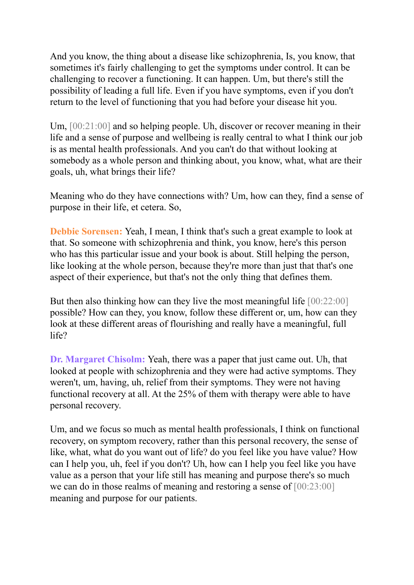And you know, the thing about a disease like schizophrenia, Is, you know, that sometimes it's fairly challenging to get the symptoms under control. It can be challenging to recover a functioning. It can happen. Um, but there's still the possibility of leading a full life. Even if you have symptoms, even if you don't return to the level of functioning that you had before your disease hit you.

Um,  $[00:21:00]$  and so helping people. Uh, discover or recover meaning in their life and a sense of purpose and wellbeing is really central to what I think our job is as mental health professionals. And you can't do that without looking at somebody as a whole person and thinking about, you know, what, what are their goals, uh, what brings their life?

Meaning who do they have connections with? Um, how can they, find a sense of purpose in their life, et cetera. So,

**Debbie Sorensen:** Yeah, I mean, I think that's such a great example to look at that. So someone with schizophrenia and think, you know, here's this person who has this particular issue and your book is about. Still helping the person, like looking at the whole person, because they're more than just that that's one aspect of their experience, but that's not the only thing that defines them.

But then also thinking how can they live the most meaningful life  $[00:22:00]$ possible? How can they, you know, follow these different or, um, how can they look at these different areas of flourishing and really have a meaningful, full life?

**Dr. Margaret Chisolm:** Yeah, there was a paper that just came out. Uh, that looked at people with schizophrenia and they were had active symptoms. They weren't, um, having, uh, relief from their symptoms. They were not having functional recovery at all. At the 25% of them with therapy were able to have personal recovery.

Um, and we focus so much as mental health professionals, I think on functional recovery, on symptom recovery, rather than this personal recovery, the sense of like, what, what do you want out of life? do you feel like you have value? How can I help you, uh, feel if you don't? Uh, how can I help you feel like you have value as a person that your life still has meaning and purpose there's so much we can do in those realms of meaning and restoring a sense of  $[00:23:00]$ meaning and purpose for our patients.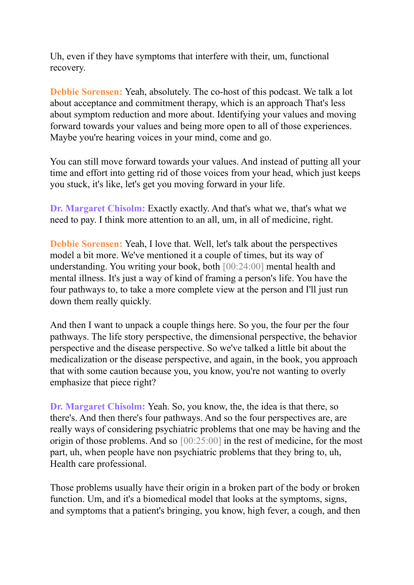Uh, even if they have symptoms that interfere with their, um, functional recovery.

**Debbie Sorensen:** Yeah, absolutely. The co-host of this podcast. We talk a lot about acceptance and commitment therapy, which is an approach That's less about symptom reduction and more about. Identifying your values and moving forward towards your values and being more open to all of those experiences. Maybe you're hearing voices in your mind, come and go.

You can still move forward towards your values. And instead of putting all your time and effort into getting rid of those voices from your head, which just keeps you stuck, it's like, let's get you moving forward in your life.

**Dr. Margaret Chisolm:** Exactly exactly. And that's what we, that's what we need to pay. I think more attention to an all, um, in all of medicine, right.

**Debbie Sorensen:** Yeah, I love that. Well, let's talk about the perspectives model a bit more. We've mentioned it a couple of times, but its way of understanding. You writing your book, both [00:24:00] mental health and mental illness. It's just a way of kind of framing a person's life. You have the four pathways to, to take a more complete view at the person and I'll just run down them really quickly.

And then I want to unpack a couple things here. So you, the four per the four pathways. The life story perspective, the dimensional perspective, the behavior perspective and the disease perspective. So we've talked a little bit about the medicalization or the disease perspective, and again, in the book, you approach that with some caution because you, you know, you're not wanting to overly emphasize that piece right?

**Dr. Margaret Chisolm:** Yeah. So, you know, the, the idea is that there, so there's. And then there's four pathways. And so the four perspectives are, are really ways of considering psychiatric problems that one may be having and the origin of those problems. And so [00:25:00] in the rest of medicine, for the most part, uh, when people have non psychiatric problems that they bring to, uh, Health care professional.

Those problems usually have their origin in a broken part of the body or broken function. Um, and it's a biomedical model that looks at the symptoms, signs, and symptoms that a patient's bringing, you know, high fever, a cough, and then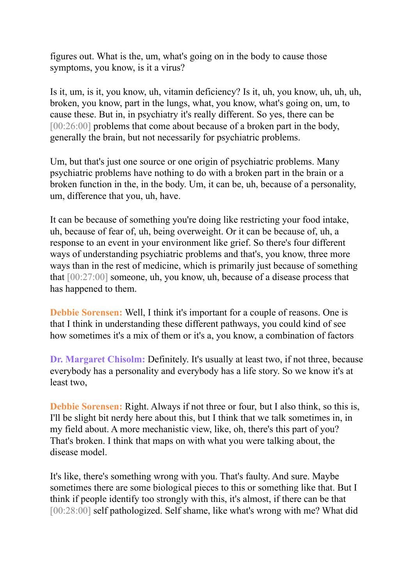figures out. What is the, um, what's going on in the body to cause those symptoms, you know, is it a virus?

Is it, um, is it, you know, uh, vitamin deficiency? Is it, uh, you know, uh, uh, uh, broken, you know, part in the lungs, what, you know, what's going on, um, to cause these. But in, in psychiatry it's really different. So yes, there can be [00:26:00] problems that come about because of a broken part in the body, generally the brain, but not necessarily for psychiatric problems.

Um, but that's just one source or one origin of psychiatric problems. Many psychiatric problems have nothing to do with a broken part in the brain or a broken function in the, in the body. Um, it can be, uh, because of a personality, um, difference that you, uh, have.

It can be because of something you're doing like restricting your food intake, uh, because of fear of, uh, being overweight. Or it can be because of, uh, a response to an event in your environment like grief. So there's four different ways of understanding psychiatric problems and that's, you know, three more ways than in the rest of medicine, which is primarily just because of something that [00:27:00] someone, uh, you know, uh, because of a disease process that has happened to them.

**Debbie Sorensen:** Well, I think it's important for a couple of reasons. One is that I think in understanding these different pathways, you could kind of see how sometimes it's a mix of them or it's a, you know, a combination of factors

**Dr. Margaret Chisolm:** Definitely. It's usually at least two, if not three, because everybody has a personality and everybody has a life story. So we know it's at least two,

**Debbie Sorensen:** Right. Always if not three or four, but I also think, so this is, I'll be slight bit nerdy here about this, but I think that we talk sometimes in, in my field about. A more mechanistic view, like, oh, there's this part of you? That's broken. I think that maps on with what you were talking about, the disease model.

It's like, there's something wrong with you. That's faulty. And sure. Maybe sometimes there are some biological pieces to this or something like that. But I think if people identify too strongly with this, it's almost, if there can be that [00:28:00] self pathologized. Self shame, like what's wrong with me? What did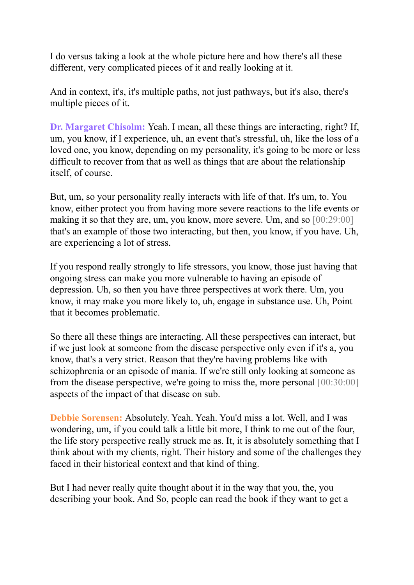I do versus taking a look at the whole picture here and how there's all these different, very complicated pieces of it and really looking at it.

And in context, it's, it's multiple paths, not just pathways, but it's also, there's multiple pieces of it.

**Dr. Margaret Chisolm:** Yeah. I mean, all these things are interacting, right? If, um, you know, if I experience, uh, an event that's stressful, uh, like the loss of a loved one, you know, depending on my personality, it's going to be more or less difficult to recover from that as well as things that are about the relationship itself, of course.

But, um, so your personality really interacts with life of that. It's um, to. You know, either protect you from having more severe reactions to the life events or making it so that they are, um, you know, more severe. Um, and so [00:29:00] that's an example of those two interacting, but then, you know, if you have. Uh, are experiencing a lot of stress.

If you respond really strongly to life stressors, you know, those just having that ongoing stress can make you more vulnerable to having an episode of depression. Uh, so then you have three perspectives at work there. Um, you know, it may make you more likely to, uh, engage in substance use. Uh, Point that it becomes problematic.

So there all these things are interacting. All these perspectives can interact, but if we just look at someone from the disease perspective only even if it's a, you know, that's a very strict. Reason that they're having problems like with schizophrenia or an episode of mania. If we're still only looking at someone as from the disease perspective, we're going to miss the, more personal [00:30:00] aspects of the impact of that disease on sub.

**Debbie Sorensen:** Absolutely. Yeah. Yeah. You'd miss a lot. Well, and I was wondering, um, if you could talk a little bit more, I think to me out of the four, the life story perspective really struck me as. It, it is absolutely something that I think about with my clients, right. Their history and some of the challenges they faced in their historical context and that kind of thing.

But I had never really quite thought about it in the way that you, the, you describing your book. And So, people can read the book if they want to get a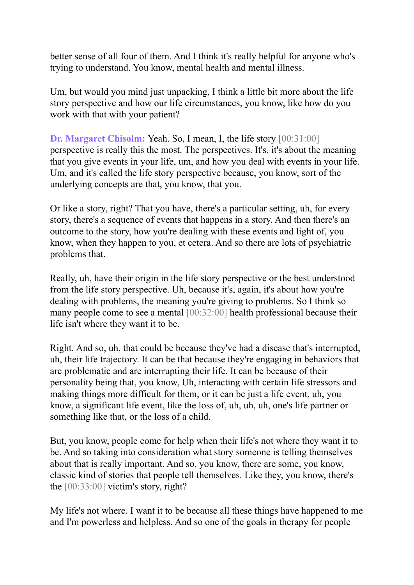better sense of all four of them. And I think it's really helpful for anyone who's trying to understand. You know, mental health and mental illness.

Um, but would you mind just unpacking, I think a little bit more about the life story perspective and how our life circumstances, you know, like how do you work with that with your patient?

**Dr. Margaret Chisolm:** Yeah. So, I mean, I, the life story [00:31:00] perspective is really this the most. The perspectives. It's, it's about the meaning that you give events in your life, um, and how you deal with events in your life. Um, and it's called the life story perspective because, you know, sort of the underlying concepts are that, you know, that you.

Or like a story, right? That you have, there's a particular setting, uh, for every story, there's a sequence of events that happens in a story. And then there's an outcome to the story, how you're dealing with these events and light of, you know, when they happen to you, et cetera. And so there are lots of psychiatric problems that.

Really, uh, have their origin in the life story perspective or the best understood from the life story perspective. Uh, because it's, again, it's about how you're dealing with problems, the meaning you're giving to problems. So I think so many people come to see a mental [00:32:00] health professional because their life isn't where they want it to be.

Right. And so, uh, that could be because they've had a disease that's interrupted, uh, their life trajectory. It can be that because they're engaging in behaviors that are problematic and are interrupting their life. It can be because of their personality being that, you know, Uh, interacting with certain life stressors and making things more difficult for them, or it can be just a life event, uh, you know, a significant life event, like the loss of, uh, uh, uh, one's life partner or something like that, or the loss of a child.

But, you know, people come for help when their life's not where they want it to be. And so taking into consideration what story someone is telling themselves about that is really important. And so, you know, there are some, you know, classic kind of stories that people tell themselves. Like they, you know, there's the [00:33:00] victim's story, right?

My life's not where. I want it to be because all these things have happened to me and I'm powerless and helpless. And so one of the goals in therapy for people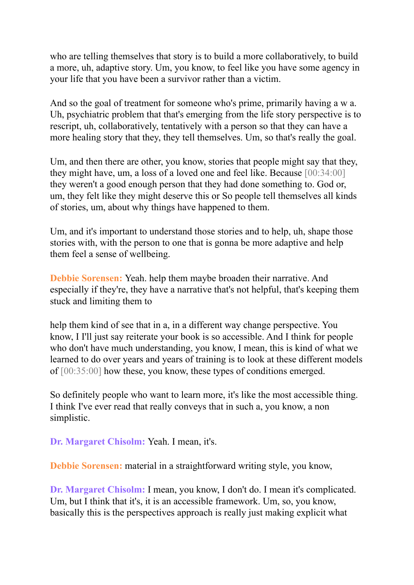who are telling themselves that story is to build a more collaboratively, to build a more, uh, adaptive story. Um, you know, to feel like you have some agency in your life that you have been a survivor rather than a victim.

And so the goal of treatment for someone who's prime, primarily having a w a. Uh, psychiatric problem that that's emerging from the life story perspective is to rescript, uh, collaboratively, tentatively with a person so that they can have a more healing story that they, they tell themselves. Um, so that's really the goal.

Um, and then there are other, you know, stories that people might say that they, they might have, um, a loss of a loved one and feel like. Because [00:34:00] they weren't a good enough person that they had done something to. God or, um, they felt like they might deserve this or So people tell themselves all kinds of stories, um, about why things have happened to them.

Um, and it's important to understand those stories and to help, uh, shape those stories with, with the person to one that is gonna be more adaptive and help them feel a sense of wellbeing.

**Debbie Sorensen:** Yeah. help them maybe broaden their narrative. And especially if they're, they have a narrative that's not helpful, that's keeping them stuck and limiting them to

help them kind of see that in a, in a different way change perspective. You know, I I'll just say reiterate your book is so accessible. And I think for people who don't have much understanding, you know, I mean, this is kind of what we learned to do over years and years of training is to look at these different models of [00:35:00] how these, you know, these types of conditions emerged.

So definitely people who want to learn more, it's like the most accessible thing. I think I've ever read that really conveys that in such a, you know, a non simplistic.

**Dr. Margaret Chisolm:** Yeah. I mean, it's.

**Debbie Sorensen:** material in a straightforward writing style, you know,

**Dr. Margaret Chisolm:** I mean, you know, I don't do. I mean it's complicated. Um, but I think that it's, it is an accessible framework. Um, so, you know, basically this is the perspectives approach is really just making explicit what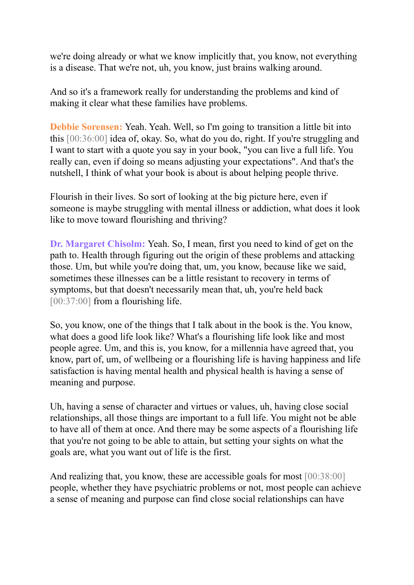we're doing already or what we know implicitly that, you know, not everything is a disease. That we're not, uh, you know, just brains walking around.

And so it's a framework really for understanding the problems and kind of making it clear what these families have problems.

**Debbie Sorensen:** Yeah. Yeah. Well, so I'm going to transition a little bit into this [00:36:00] idea of, okay. So, what do you do, right. If you're struggling and I want to start with a quote you say in your book, "you can live a full life. You really can, even if doing so means adjusting your expectations". And that's the nutshell, I think of what your book is about is about helping people thrive.

Flourish in their lives. So sort of looking at the big picture here, even if someone is maybe struggling with mental illness or addiction, what does it look like to move toward flourishing and thriving?

**Dr. Margaret Chisolm:** Yeah. So, I mean, first you need to kind of get on the path to. Health through figuring out the origin of these problems and attacking those. Um, but while you're doing that, um, you know, because like we said, sometimes these illnesses can be a little resistant to recovery in terms of symptoms, but that doesn't necessarily mean that, uh, you're held back [00:37:00] from a flourishing life.

So, you know, one of the things that I talk about in the book is the. You know, what does a good life look like? What's a flourishing life look like and most people agree. Um, and this is, you know, for a millennia have agreed that, you know, part of, um, of wellbeing or a flourishing life is having happiness and life satisfaction is having mental health and physical health is having a sense of meaning and purpose.

Uh, having a sense of character and virtues or values, uh, having close social relationships, all those things are important to a full life. You might not be able to have all of them at once. And there may be some aspects of a flourishing life that you're not going to be able to attain, but setting your sights on what the goals are, what you want out of life is the first.

And realizing that, you know, these are accessible goals for most  $[00:38:00]$ people, whether they have psychiatric problems or not, most people can achieve a sense of meaning and purpose can find close social relationships can have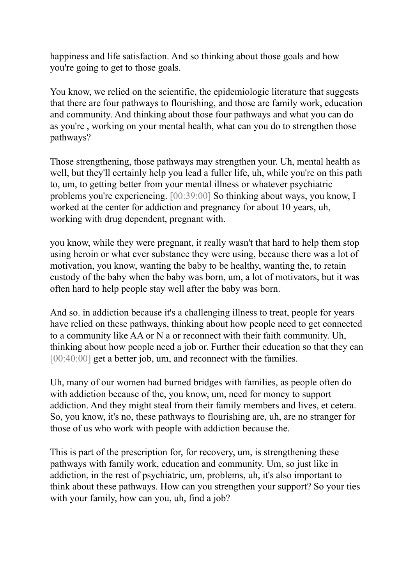happiness and life satisfaction. And so thinking about those goals and how you're going to get to those goals.

You know, we relied on the scientific, the epidemiologic literature that suggests that there are four pathways to flourishing, and those are family work, education and community. And thinking about those four pathways and what you can do as you're , working on your mental health, what can you do to strengthen those pathways?

Those strengthening, those pathways may strengthen your. Uh, mental health as well, but they'll certainly help you lead a fuller life, uh, while you're on this path to, um, to getting better from your mental illness or whatever psychiatric problems you're experiencing. [00:39:00] So thinking about ways, you know, I worked at the center for addiction and pregnancy for about 10 years, uh, working with drug dependent, pregnant with.

you know, while they were pregnant, it really wasn't that hard to help them stop using heroin or what ever substance they were using, because there was a lot of motivation, you know, wanting the baby to be healthy, wanting the, to retain custody of the baby when the baby was born, um, a lot of motivators, but it was often hard to help people stay well after the baby was born.

And so. in addiction because it's a challenging illness to treat, people for years have relied on these pathways, thinking about how people need to get connected to a community like AA or N a or reconnect with their faith community. Uh, thinking about how people need a job or. Further their education so that they can [00:40:00] get a better job, um, and reconnect with the families.

Uh, many of our women had burned bridges with families, as people often do with addiction because of the, you know, um, need for money to support addiction. And they might steal from their family members and lives, et cetera. So, you know, it's no, these pathways to flourishing are, uh, are no stranger for those of us who work with people with addiction because the.

This is part of the prescription for, for recovery, um, is strengthening these pathways with family work, education and community. Um, so just like in addiction, in the rest of psychiatric, um, problems, uh, it's also important to think about these pathways. How can you strengthen your support? So your ties with your family, how can you, uh, find a job?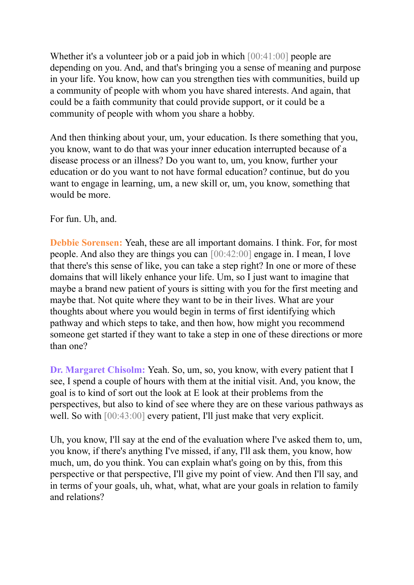Whether it's a volunteer job or a paid job in which  $[00:41:00]$  people are depending on you. And, and that's bringing you a sense of meaning and purpose in your life. You know, how can you strengthen ties with communities, build up a community of people with whom you have shared interests. And again, that could be a faith community that could provide support, or it could be a community of people with whom you share a hobby.

And then thinking about your, um, your education. Is there something that you, you know, want to do that was your inner education interrupted because of a disease process or an illness? Do you want to, um, you know, further your education or do you want to not have formal education? continue, but do you want to engage in learning, um, a new skill or, um, you know, something that would be more.

## For fun. Uh, and.

**Debbie Sorensen:** Yeah, these are all important domains. I think. For, for most people. And also they are things you can [00:42:00] engage in. I mean, I love that there's this sense of like, you can take a step right? In one or more of these domains that will likely enhance your life. Um, so I just want to imagine that maybe a brand new patient of yours is sitting with you for the first meeting and maybe that. Not quite where they want to be in their lives. What are your thoughts about where you would begin in terms of first identifying which pathway and which steps to take, and then how, how might you recommend someone get started if they want to take a step in one of these directions or more than one?

**Dr. Margaret Chisolm:** Yeah. So, um, so, you know, with every patient that I see, I spend a couple of hours with them at the initial visit. And, you know, the goal is to kind of sort out the look at E look at their problems from the perspectives, but also to kind of see where they are on these various pathways as well. So with [00:43:00] every patient, I'll just make that very explicit.

Uh, you know, I'll say at the end of the evaluation where I've asked them to, um, you know, if there's anything I've missed, if any, I'll ask them, you know, how much, um, do you think. You can explain what's going on by this, from this perspective or that perspective, I'll give my point of view. And then I'll say, and in terms of your goals, uh, what, what, what are your goals in relation to family and relations?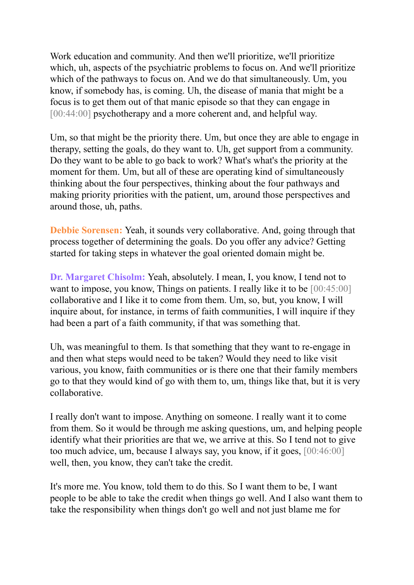Work education and community. And then we'll prioritize, we'll prioritize which, uh, aspects of the psychiatric problems to focus on. And we'll prioritize which of the pathways to focus on. And we do that simultaneously. Um, you know, if somebody has, is coming. Uh, the disease of mania that might be a focus is to get them out of that manic episode so that they can engage in [00:44:00] psychotherapy and a more coherent and, and helpful way.

Um, so that might be the priority there. Um, but once they are able to engage in therapy, setting the goals, do they want to. Uh, get support from a community. Do they want to be able to go back to work? What's what's the priority at the moment for them. Um, but all of these are operating kind of simultaneously thinking about the four perspectives, thinking about the four pathways and making priority priorities with the patient, um, around those perspectives and around those, uh, paths.

**Debbie Sorensen:** Yeah, it sounds very collaborative. And, going through that process together of determining the goals. Do you offer any advice? Getting started for taking steps in whatever the goal oriented domain might be.

**Dr. Margaret Chisolm:** Yeah, absolutely. I mean, I, you know, I tend not to want to impose, you know, Things on patients. I really like it to be [00:45:00] collaborative and I like it to come from them. Um, so, but, you know, I will inquire about, for instance, in terms of faith communities, I will inquire if they had been a part of a faith community, if that was something that.

Uh, was meaningful to them. Is that something that they want to re-engage in and then what steps would need to be taken? Would they need to like visit various, you know, faith communities or is there one that their family members go to that they would kind of go with them to, um, things like that, but it is very collaborative.

I really don't want to impose. Anything on someone. I really want it to come from them. So it would be through me asking questions, um, and helping people identify what their priorities are that we, we arrive at this. So I tend not to give too much advice, um, because I always say, you know, if it goes, [00:46:00] well, then, you know, they can't take the credit.

It's more me. You know, told them to do this. So I want them to be, I want people to be able to take the credit when things go well. And I also want them to take the responsibility when things don't go well and not just blame me for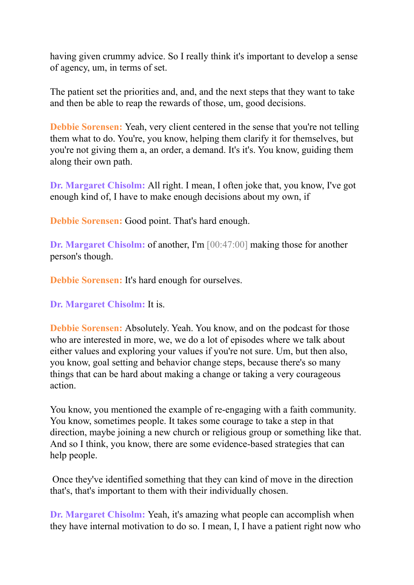having given crummy advice. So I really think it's important to develop a sense of agency, um, in terms of set.

The patient set the priorities and, and, and the next steps that they want to take and then be able to reap the rewards of those, um, good decisions.

**Debbie Sorensen:** Yeah, very client centered in the sense that you're not telling them what to do. You're, you know, helping them clarify it for themselves, but you're not giving them a, an order, a demand. It's it's. You know, guiding them along their own path.

**Dr. Margaret Chisolm:** All right. I mean, I often joke that, you know, I've got enough kind of, I have to make enough decisions about my own, if

**Debbie Sorensen:** Good point. That's hard enough.

**Dr. Margaret Chisolm:** of another, I'm [00:47:00] making those for another person's though.

**Debbie Sorensen:** It's hard enough for ourselves.

**Dr. Margaret Chisolm:** It is.

**Debbie Sorensen:** Absolutely. Yeah. You know, and on the podcast for those who are interested in more, we, we do a lot of episodes where we talk about either values and exploring your values if you're not sure. Um, but then also, you know, goal setting and behavior change steps, because there's so many things that can be hard about making a change or taking a very courageous action.

You know, you mentioned the example of re-engaging with a faith community. You know, sometimes people. It takes some courage to take a step in that direction, maybe joining a new church or religious group or something like that. And so I think, you know, there are some evidence-based strategies that can help people.

Once they've identified something that they can kind of move in the direction that's, that's important to them with their individually chosen.

**Dr. Margaret Chisolm:** Yeah, it's amazing what people can accomplish when they have internal motivation to do so. I mean, I, I have a patient right now who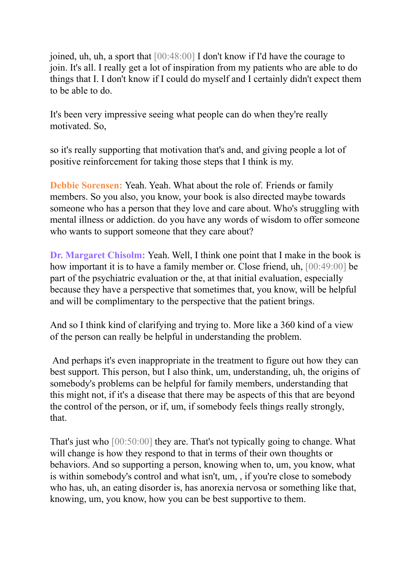joined, uh, uh, a sport that [00:48:00] I don't know if I'd have the courage to join. It's all. I really get a lot of inspiration from my patients who are able to do things that I. I don't know if I could do myself and I certainly didn't expect them to be able to do.

It's been very impressive seeing what people can do when they're really motivated. So,

so it's really supporting that motivation that's and, and giving people a lot of positive reinforcement for taking those steps that I think is my.

**Debbie Sorensen:** Yeah. Yeah. What about the role of. Friends or family members. So you also, you know, your book is also directed maybe towards someone who has a person that they love and care about. Who's struggling with mental illness or addiction. do you have any words of wisdom to offer someone who wants to support someone that they care about?

**Dr. Margaret Chisolm:** Yeah. Well, I think one point that I make in the book is how important it is to have a family member or. Close friend, uh, [00:49:00] be part of the psychiatric evaluation or the, at that initial evaluation, especially because they have a perspective that sometimes that, you know, will be helpful and will be complimentary to the perspective that the patient brings.

And so I think kind of clarifying and trying to. More like a 360 kind of a view of the person can really be helpful in understanding the problem.

And perhaps it's even inappropriate in the treatment to figure out how they can best support. This person, but I also think, um, understanding, uh, the origins of somebody's problems can be helpful for family members, understanding that this might not, if it's a disease that there may be aspects of this that are beyond the control of the person, or if, um, if somebody feels things really strongly, that.

That's just who [00:50:00] they are. That's not typically going to change. What will change is how they respond to that in terms of their own thoughts or behaviors. And so supporting a person, knowing when to, um, you know, what is within somebody's control and what isn't, um, , if you're close to somebody who has, uh, an eating disorder is, has anorexia nervosa or something like that, knowing, um, you know, how you can be best supportive to them.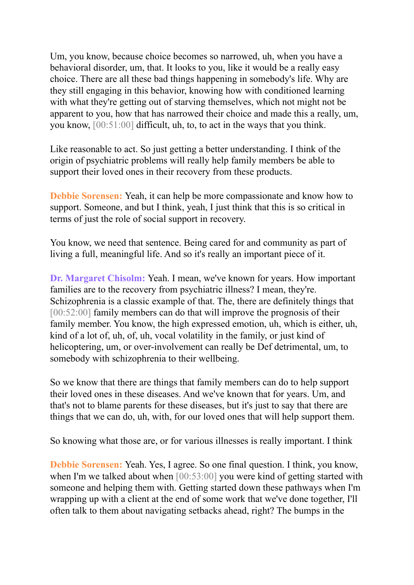Um, you know, because choice becomes so narrowed, uh, when you have a behavioral disorder, um, that. It looks to you, like it would be a really easy choice. There are all these bad things happening in somebody's life. Why are they still engaging in this behavior, knowing how with conditioned learning with what they're getting out of starving themselves, which not might not be apparent to you, how that has narrowed their choice and made this a really, um, you know, [00:51:00] difficult, uh, to, to act in the ways that you think.

Like reasonable to act. So just getting a better understanding. I think of the origin of psychiatric problems will really help family members be able to support their loved ones in their recovery from these products.

**Debbie Sorensen:** Yeah, it can help be more compassionate and know how to support. Someone, and but I think, yeah, I just think that this is so critical in terms of just the role of social support in recovery.

You know, we need that sentence. Being cared for and community as part of living a full, meaningful life. And so it's really an important piece of it.

**Dr. Margaret Chisolm:** Yeah. I mean, we've known for years. How important families are to the recovery from psychiatric illness? I mean, they're. Schizophrenia is a classic example of that. The, there are definitely things that [00:52:00] family members can do that will improve the prognosis of their family member. You know, the high expressed emotion, uh, which is either, uh, kind of a lot of, uh, of, uh, vocal volatility in the family, or just kind of helicoptering, um, or over-involvement can really be Def detrimental, um, to somebody with schizophrenia to their wellbeing.

So we know that there are things that family members can do to help support their loved ones in these diseases. And we've known that for years. Um, and that's not to blame parents for these diseases, but it's just to say that there are things that we can do, uh, with, for our loved ones that will help support them.

So knowing what those are, or for various illnesses is really important. I think

**Debbie Sorensen:** Yeah. Yes, I agree. So one final question. I think, you know, when I'm we talked about when  $[00:53:00]$  you were kind of getting started with someone and helping them with. Getting started down these pathways when I'm wrapping up with a client at the end of some work that we've done together, I'll often talk to them about navigating setbacks ahead, right? The bumps in the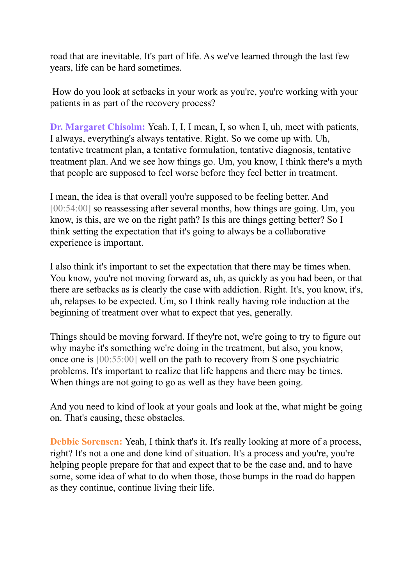road that are inevitable. It's part of life. As we've learned through the last few years, life can be hard sometimes.

How do you look at setbacks in your work as you're, you're working with your patients in as part of the recovery process?

**Dr. Margaret Chisolm:** Yeah. I, I, I mean, I, so when I, uh, meet with patients, I always, everything's always tentative. Right. So we come up with. Uh, tentative treatment plan, a tentative formulation, tentative diagnosis, tentative treatment plan. And we see how things go. Um, you know, I think there's a myth that people are supposed to feel worse before they feel better in treatment.

I mean, the idea is that overall you're supposed to be feeling better. And [00:54:00] so reassessing after several months, how things are going. Um, you know, is this, are we on the right path? Is this are things getting better? So I think setting the expectation that it's going to always be a collaborative experience is important.

I also think it's important to set the expectation that there may be times when. You know, you're not moving forward as, uh, as quickly as you had been, or that there are setbacks as is clearly the case with addiction. Right. It's, you know, it's, uh, relapses to be expected. Um, so I think really having role induction at the beginning of treatment over what to expect that yes, generally.

Things should be moving forward. If they're not, we're going to try to figure out why maybe it's something we're doing in the treatment, but also, you know, once one is [00:55:00] well on the path to recovery from S one psychiatric problems. It's important to realize that life happens and there may be times. When things are not going to go as well as they have been going.

And you need to kind of look at your goals and look at the, what might be going on. That's causing, these obstacles.

**Debbie Sorensen:** Yeah, I think that's it. It's really looking at more of a process, right? It's not a one and done kind of situation. It's a process and you're, you're helping people prepare for that and expect that to be the case and, and to have some, some idea of what to do when those, those bumps in the road do happen as they continue, continue living their life.